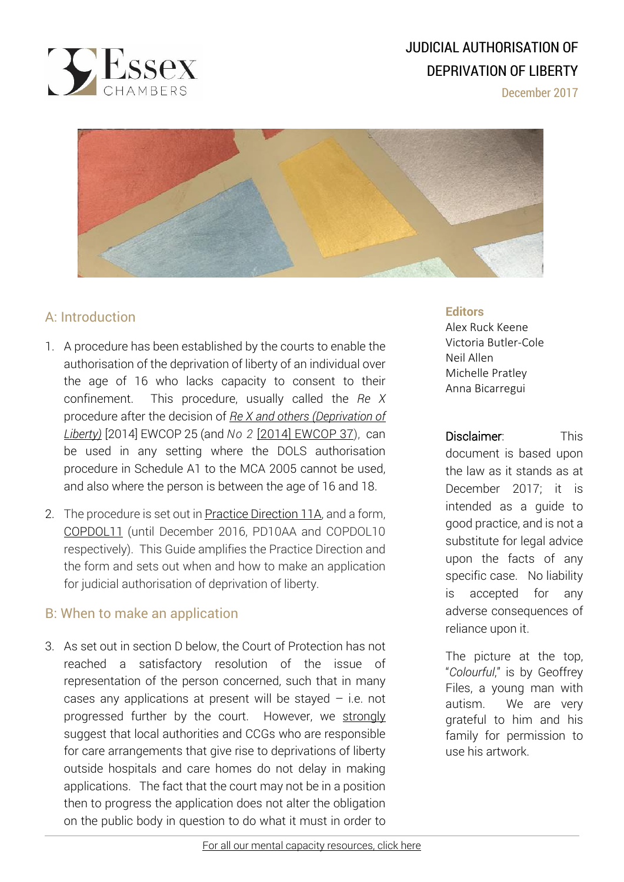

# JUDICIAL AUTHORISATION OF DEPRIVATION OF LIBERTY

December 2017



## A: Introduction

- 1. A procedure has been established by the courts to enable the authorisation of the deprivation of liberty of an individual over the age of 16 who lacks capacity to consent to their confinement. This procedure, usually called the *Re X* procedure after the decision of *Re X and others [\(Deprivation](http://www.39essex.com/cop_cases/re-x-others-deprivation-liberty/) of [Liberty\)](http://www.39essex.com/cop_cases/re-x-others-deprivation-liberty/)* [2014] EWCOP 25 (and *No 2* [2014] [EWCOP](http://www.bailii.org/ew/cases/EWCOP/2014/37.html) 37), can be used in any setting where the DOLS authorisation procedure in Schedule A1 to the MCA 2005 cannot be used, and also where the person is between the age of 16 and 18.
- 2. The procedure is set out in <u>Practice [Direction](https://courtofprotectionhandbook.com/legislation-codes-of-practice-forms-and-guidance/) 11A</u>, and a form, [COPDOL11](https://formfinder.hmctsformfinder.justice.gov.uk/copdol11-eng.pdf) (until December 2016, PD10AA and COPDOL10 respectively). This Guide amplifies the Practice Direction and the form and sets out when and how to make an application for judicial authorisation of deprivation of liberty.

### B: When to make an application

 3. As set out in section D below, the Court of Protection has not reached a satisfactory resolution of the issue of representation of the person concerned, such that in many cases any applications at present will be stayed  $-$  i.e. not progressed further by the court. However, we strongly suggest that local authorities and CCGs who are responsible for care arrangements that give rise to deprivations of liberty outside hospitals and care homes do not delay in making applications. The fact that the court may not be in a position then to progress the application does not alter the obligation on the public body in question to do what it must in order to

#### **Editors**

Alex Ruck Keene Victoria Butler-Cole Neil Allen Michelle Pratley Anna Bicarregui

Disclaimer: This

document is based upon the law as it stands as at December 2017; it is intended as a guide to good practice, and is not a substitute for legal advice upon the facts of any specific case. No liability is accepted for any adverse consequences of reliance upon it.

The picture at the top, "*Colourful*," is by Geoffrey Files, a young man with autism. We are very grateful to him and his family for permission to use his artwork.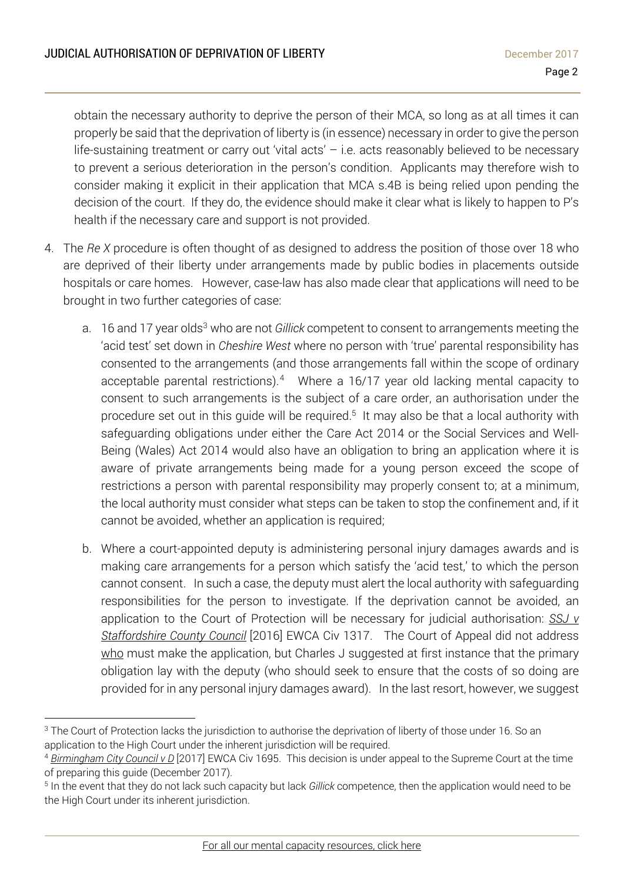obtain the necessary authority to deprive the person of their MCA, so long as at all times it can properly be said that the deprivation of liberty is (in essence) necessary in order to give the person life-sustaining treatment or carry out 'vital acts' – i.e. acts reasonably believed to be necessary to prevent a serious deterioration in the person's condition. Applicants may therefore wish to consider making it explicit in their application that MCA s.4B is being relied upon pending the decision of the court. If they do, the evidence should make it clear what is likely to happen to P's health if the necessary care and support is not provided.

- 4. The *Re X* procedure is often thought of as designed to address the position of those over 18 who are deprived of their liberty under arrangements made by public bodies in placements outside hospitals or care homes. However, case-law has also made clear that applications will need to be brought in two further categories of case:
	- a. 16 and 17 year olds<sup>3</sup> who are not *Gillick* competent to consent to arrangements meeting the 'acid test' set down in *Cheshire West* where no person with 'true' parental responsibility has consented to the arrangements (and those arrangements fall within the scope of ordinary acceptable parental restrictions).<sup>4</sup> Where a 16/17 year old lacking mental capacity to consent to such arrangements is the subject of a care order, an authorisation under the procedure set out in this guide will be required.<sup>5</sup> It may also be that a local authority with safeguarding obligations under either the Care Act 2014 or the Social Services and Well-Being (Wales) Act 2014 would also have an obligation to bring an application where it is aware of private arrangements being made for a young person exceed the scope of restrictions a person with parental responsibility may properly consent to; at a minimum, the local authority must consider what steps can be taken to stop the confinement and, if it cannot be avoided, whether an application is required;
	- b. Where a court-appointed deputy is administering personal injury damages awards and is making care arrangements for a person which satisfy the 'acid test,' to which the person cannot consent. In such a case, the deputy must alert the local authority with safeguarding responsibilities for the person to investigate. If the deprivation cannot be avoided, an application to the Court of Protection will be necessary for judicial authorisation: *[SSJ](http://www.39essex.com/cop_cases/42527/) v [Staffordshire](http://www.39essex.com/cop_cases/42527/) County Council* [2016] EWCA Civ 1317. The Court of Appeal did not address who must make the application, but Charles J suggested at first instance that the primary obligation lay with the deputy (who should seek to ensure that the costs of so doing are provided for in any personal injury damages award). In the last resort, however, we suggest

 $\overline{a}$ <sup>3</sup> The Court of Protection lacks the jurisdiction to authorise the deprivation of liberty of those under 16. So an application to the High Court under the inherent jurisdiction will be required.

<sup>4</sup> *[Birmingham](http://www.mentalcapacitylawandpolicy.org.uk/teen-bournewood-court-of-appeal-decision-now-out/) City Council v D* [2017] EWCA Civ 1695. This decision is under appeal to the Supreme Court at the time of preparing this guide (December 2017).

<sup>5</sup> In the event that they do not lack such capacity but lack *Gillick* competence, then the application would need to be the High Court under its inherent jurisdiction.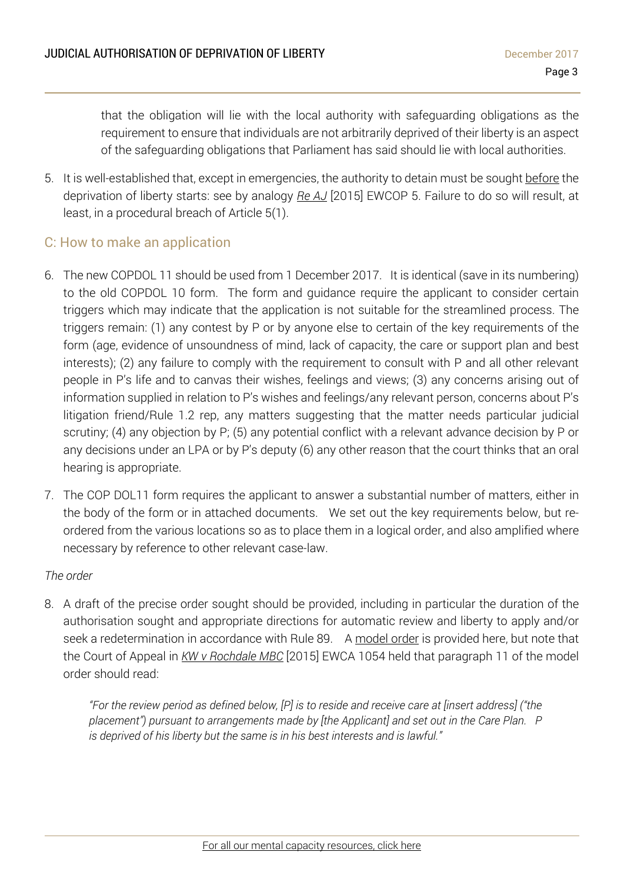that the obligation will lie with the local authority with safeguarding obligations as the requirement to ensure that individuals are not arbitrarily deprived of their liberty is an aspect of the safeguarding obligations that Parliament has said should lie with local authorities.

5. It is well-established that, except in emergencies, the authority to detain must be sought before the deprivation of liberty starts: see by analogy *Re [AJ](http://www.39essex.com/cop_cases/aj-v-a-local-authority/)* [2015] EWCOP 5. Failure to do so will result, at least, in a procedural breach of Article 5(1).

### C: How to make an application

- 6. The new COPDOL 11 should be used from 1 December 2017. It is identical (save in its numbering) to the old COPDOL 10 form. The form and guidance require the applicant to consider certain triggers which may indicate that the application is not suitable for the streamlined process. The triggers remain: (1) any contest by P or by anyone else to certain of the key requirements of the form (age, evidence of unsoundness of mind, lack of capacity, the care or support plan and best interests); (2) any failure to comply with the requirement to consult with P and all other relevant people in P's life and to canvas their wishes, feelings and views; (3) any concerns arising out of information supplied in relation to P's wishes and feelings/any relevant person, concerns about P's litigation friend/Rule 1.2 rep, any matters suggesting that the matter needs particular judicial scrutiny; (4) any objection by P; (5) any potential conflict with a relevant advance decision by P or any decisions under an LPA or by P's deputy (6) any other reason that the court thinks that an oral hearing is appropriate.
- 7. The COP DOL11 form requires the applicant to answer a substantial number of matters, either in the body of the form or in attached documents. We set out the key requirements below, but reordered from the various locations so as to place them in a logical order, and also amplified where necessary by reference to other relevant case-law.

#### *The order*

8. A draft of the precise order sought should be provided, including in particular the duration of the authorisation sought and appropriate directions for automatic review and liberty to apply and/or seek a redetermination in accordance with Rule 89. A [model](https://courtofprotectionhandbook.files.wordpress.com/2014/07/re-x-model-order.docx) order is provided here, but note that the Court of Appeal in *KW v [Rochdale](http://www.39essex.com/cop_cases/kw-ors-v-rochdale-mbc/) MBC* [2015] EWCA 1054 held that paragraph 11 of the model order should read:

*"For the review period as defined below, [P] is to reside and receive care at [insert address] ("the placement") pursuant to arrangements made by [the Applicant] and set out in the Care Plan. P is deprived of his liberty but the same is in his best interests and is lawful."*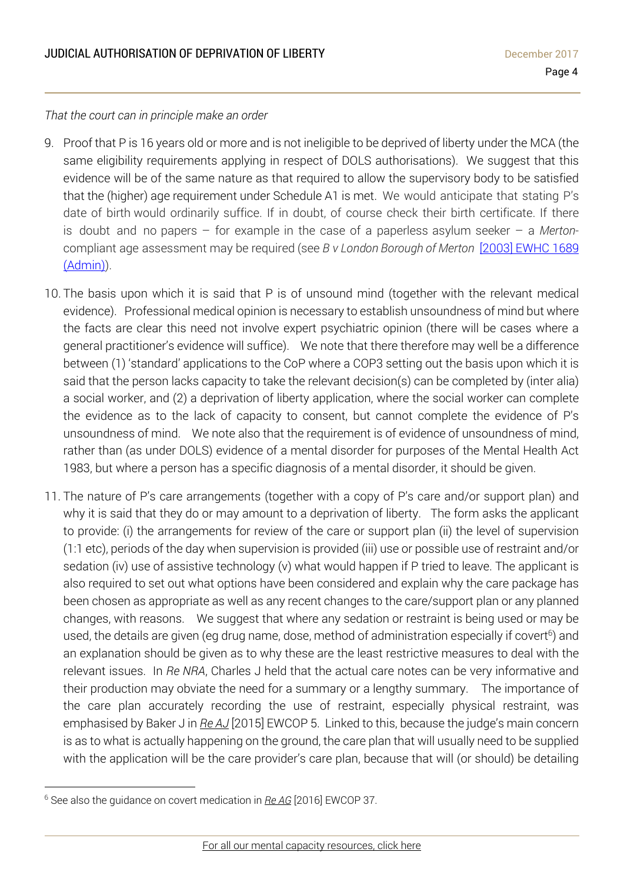*That the court can in principle make an order*

- 9. Proof that P is 16 years old or more and is not ineligible to be deprived of liberty under the MCA (the same eligibility requirements applying in respect of DOLS authorisations). We suggest that this evidence will be of the same nature as that required to allow the supervisory body to be satisfied that the (higher) age requirement under Schedule A1 is met. We would anticipate that stating P's date of birth would ordinarily suffice. If in doubt, of course check their birth certificate. If there is doubt and no papers – for example in the case of a paperless asylum seeker – a *Merton*compliant age assessment may be required (see *B v London Borough of Merton* [2003] [EWHC](http://www.bailii.org/ew/cases/EWHC/Admin/2003/1689.html) 1689 [\(Admin\)\)](http://www.bailii.org/ew/cases/EWHC/Admin/2003/1689.html).
- 10. The basis upon which it is said that P is of unsound mind (together with the relevant medical evidence). Professional medical opinion is necessary to establish unsoundness of mind but where the facts are clear this need not involve expert psychiatric opinion (there will be cases where a general practitioner's evidence will suffice). We note that there therefore may well be a difference between (1) 'standard' applications to the CoP where a COP3 setting out the basis upon which it is said that the person lacks capacity to take the relevant decision(s) can be completed by (inter alia) a social worker, and (2) a deprivation of liberty application, where the social worker can complete the evidence as to the lack of capacity to consent, but cannot complete the evidence of P's unsoundness of mind. We note also that the requirement is of evidence of unsoundness of mind, rather than (as under DOLS) evidence of a mental disorder for purposes of the Mental Health Act 1983, but where a person has a specific diagnosis of a mental disorder, it should be given.
- 11. The nature of P's care arrangements (together with a copy of P's care and/or support plan) and why it is said that they do or may amount to a deprivation of liberty. The form asks the applicant to provide: (i) the arrangements for review of the care or support plan (ii) the level of supervision (1:1 etc), periods of the day when supervision is provided (iii) use or possible use of restraint and/or sedation (iv) use of assistive technology (v) what would happen if P tried to leave. The applicant is also required to set out what options have been considered and explain why the care package has been chosen as appropriate as well as any recent changes to the care/support plan or any planned changes, with reasons. We suggest that where any sedation or restraint is being used or may be used, the details are given (eg drug name, dose, method of administration especially if covert<sup>6</sup>) and an explanation should be given as to why these are the least restrictive measures to deal with the relevant issues. In *Re NRA*, Charles J held that the actual care notes can be very informative and their production may obviate the need for a summary or a lengthy summary. The importance of the care plan accurately recording the use of restraint, especially physical restraint, was emphasised by Baker J in *Re [AJ](http://www.39essex.com/cop_cases/aj-v-a-local-authority/)* [2015] EWCOP 5. Linked to this, because the judge's main concern is as to what is actually happening on the ground, the care plan that will usually need to be supplied with the application will be the care provider's care plan, because that will (or should) be detailing

 $\overline{a}$ <sup>6</sup> See also the guidance on covert medication in *Re [AG](http://www.39essex.com/cop_cases/ag-v-bmbc-anor/)* [2016] EWCOP 37.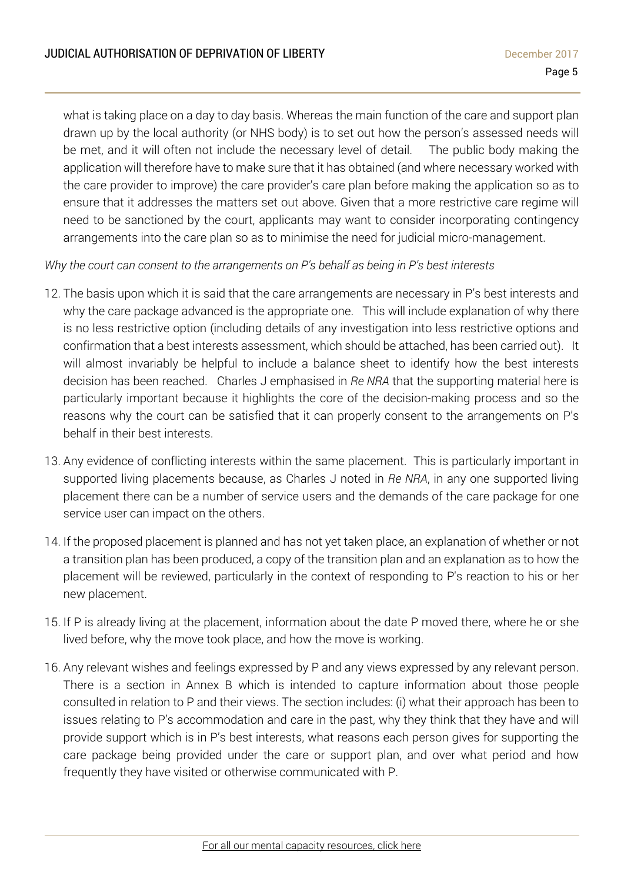what is taking place on a day to day basis. Whereas the main function of the care and support plan drawn up by the local authority (or NHS body) is to set out how the person's assessed needs will be met, and it will often not include the necessary level of detail. The public body making the application will therefore have to make sure that it has obtained (and where necessary worked with the care provider to improve) the care provider's care plan before making the application so as to ensure that it addresses the matters set out above. Given that a more restrictive care regime will need to be sanctioned by the court, applicants may want to consider incorporating contingency arrangements into the care plan so as to minimise the need for judicial micro-management.

*Why the court can consent to the arrangements on P's behalf as being in P's best interests*

- 12. The basis upon which it is said that the care arrangements are necessary in P's best interests and why the care package advanced is the appropriate one. This will include explanation of why there is no less restrictive option (including details of any investigation into less restrictive options and confirmation that a best interests assessment, which should be attached, has been carried out). It will almost invariably be helpful to include a balance sheet to identify how the best interests decision has been reached. Charles J emphasised in *Re NRA* that the supporting material here is particularly important because it highlights the core of the decision-making process and so the reasons why the court can be satisfied that it can properly consent to the arrangements on P's behalf in their best interests.
- 13. Any evidence of conflicting interests within the same placement. This is particularly important in supported living placements because, as Charles J noted in *Re NRA*, in any one supported living placement there can be a number of service users and the demands of the care package for one service user can impact on the others.
- 14. If the proposed placement is planned and has not yet taken place, an explanation of whether or not a transition plan has been produced, a copy of the transition plan and an explanation as to how the placement will be reviewed, particularly in the context of responding to P's reaction to his or her new placement.
- 15. If P is already living at the placement, information about the date P moved there, where he or she lived before, why the move took place, and how the move is working.
- 16. Any relevant wishes and feelings expressed by P and any views expressed by any relevant person. There is a section in Annex B which is intended to capture information about those people consulted in relation to P and their views. The section includes: (i) what their approach has been to issues relating to P's accommodation and care in the past, why they think that they have and will provide support which is in P's best interests, what reasons each person gives for supporting the care package being provided under the care or support plan, and over what period and how frequently they have visited or otherwise communicated with P.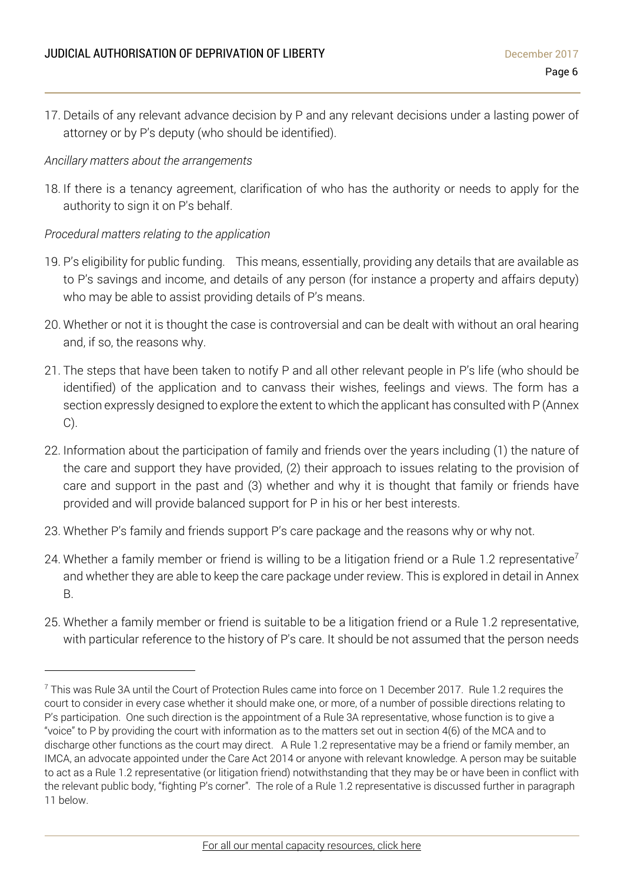17. Details of any relevant advance decision by P and any relevant decisions under a lasting power of attorney or by P's deputy (who should be identified).

#### *Ancillary matters about the arrangements*

18. If there is a tenancy agreement, clarification of who has the authority or needs to apply for the authority to sign it on P's behalf.

#### *Procedural matters relating to the application*

 $\overline{a}$ 

- 19. P's eligibility for public funding. This means, essentially, providing any details that are available as to P's savings and income, and details of any person (for instance a property and affairs deputy) who may be able to assist providing details of P's means.
- 20. Whether or not it is thought the case is controversial and can be dealt with without an oral hearing and, if so, the reasons why.
- 21. The steps that have been taken to notify P and all other relevant people in P's life (who should be identified) of the application and to canvass their wishes, feelings and views. The form has a section expressly designed to explore the extent to which the applicant has consulted with P (Annex C).
- 22. Information about the participation of family and friends over the years including (1) the nature of the care and support they have provided, (2) their approach to issues relating to the provision of care and support in the past and (3) whether and why it is thought that family or friends have provided and will provide balanced support for P in his or her best interests.
- 23. Whether P's family and friends support P's care package and the reasons why or why not.
- 24. Whether a family member or friend is willing to be a litigation friend or a Rule 1.2 representative<sup>7</sup> and whether they are able to keep the care package under review. This is explored in detail in Annex B.
- 25. Whether a family member or friend is suitable to be a litigation friend or a Rule 1.2 representative, with particular reference to the history of P's care. It should be not assumed that the person needs

<sup>7</sup> This was Rule 3A until the Court of Protection Rules came into force on 1 December 2017. Rule 1.2 requires the court to consider in every case whether it should make one, or more, of a number of possible directions relating to P's participation. One such direction is the appointment of a Rule 3A representative, whose function is to give a "voice" to P by providing the court with information as to the matters set out in section 4(6) of the MCA and to discharge other functions as the court may direct. A Rule 1.2 representative may be a friend or family member, an IMCA, an advocate appointed under the Care Act 2014 or anyone with relevant knowledge. A person may be suitable to act as a Rule 1.2 representative (or litigation friend) notwithstanding that they may be or have been in conflict with the relevant public body, "fighting P's corner". The role of a Rule 1.2 representative is discussed further in paragraph 11 below.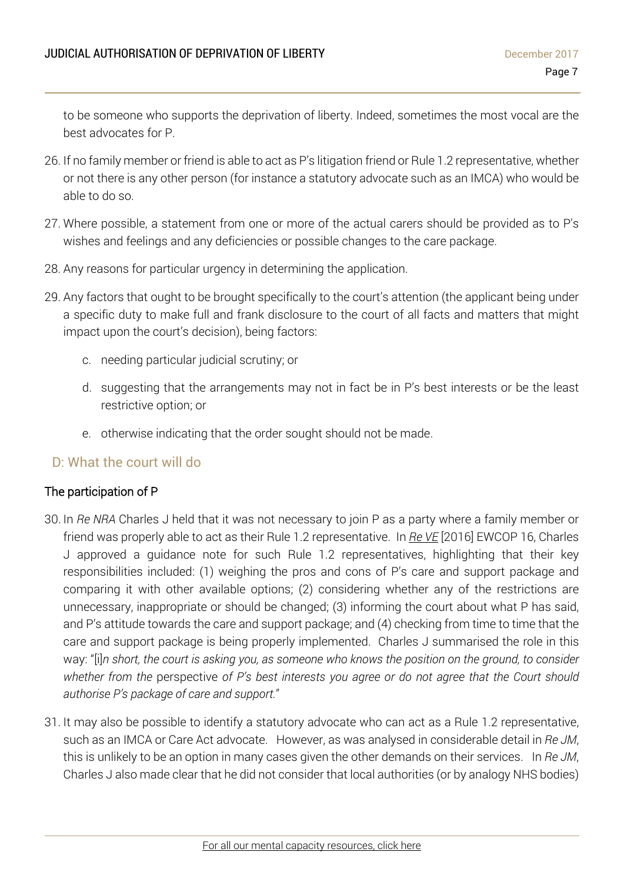to be someone who supports the deprivation of liberty. Indeed, sometimes the most vocal are the best advocates for P.

- 26. If no family member or friend is able to act as P's litigation friend or Rule 1.2 representative, whether or not there is any other person (for instance a statutory advocate such as an IMCA) who would be able to do so.
- 27. Where possible, a statement from one or more of the actual carers should be provided as to P's wishes and feelings and any deficiencies or possible changes to the care package.
- 28. Any reasons for particular urgency in determining the application.
- 29. Any factors that ought to be brought specifically to the court's attention (the applicant being under a specific duty to make full and frank disclosure to the court of all facts and matters that might impact upon the court's decision), being factors:
	- c. needing particular judicial scrutiny; or
	- d. suggesting that the arrangements may not in fact be in P's best interests or be the least restrictive option; or
	- e. otherwise indicating that the order sought should not be made.

### D: What the court will do

### The participation of P

- 30. In *Re NRA* Charles J held that it was not necessary to join P as a party where a family member or friend was properly able to act as their Rule 1.2 representative. In *Re [VE](http://www.39essex.com/cop_cases/re-ve/)* [2016] EWCOP 16, Charles J approved a guidance note for such Rule 1.2 representatives, highlighting that their key responsibilities included: (1) weighing the pros and cons of P's care and support package and comparing it with other available options; (2) considering whether any of the restrictions are unnecessary, inappropriate or should be changed; (3) informing the court about what P has said, and P's attitude towards the care and support package; and (4) checking from time to time that the care and support package is being properly implemented. Charles J summarised the role in this way: "[i]n short, the court is asking you, as someone who knows the position on the ground, to consider *whether from the* perspective *of P's best interests you agree or do not agree that the Court should authorise P's package of care and support.*"
- 31. It may also be possible to identify a statutory advocate who can act as a Rule 1.2 representative, such as an IMCA or Care Act advocate. However, as was analysed in considerable detail in *Re JM*, this is unlikely to be an option in many cases given the other demands on their services. In *Re JM*, Charles J also made clear that he did not consider that local authorities (or by analogy NHS bodies)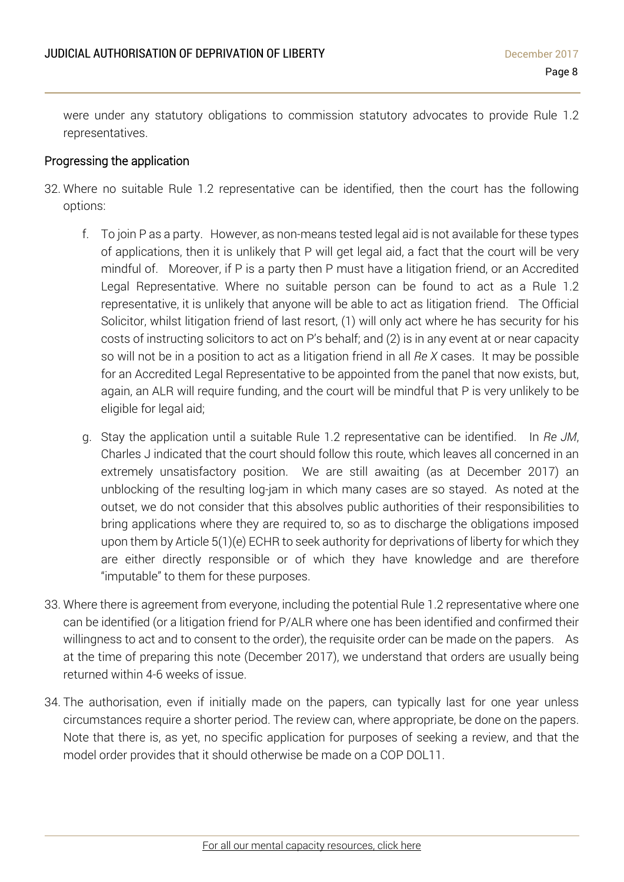were under any statutory obligations to commission statutory advocates to provide Rule 1.2 representatives.

#### Progressing the application

- 32. Where no suitable Rule 1.2 representative can be identified, then the court has the following options:
	- f. To join P as a party. However, as non-means tested legal aid is not available for these types of applications, then it is unlikely that P will get legal aid, a fact that the court will be very mindful of. Moreover, if P is a party then P must have a litigation friend, or an Accredited Legal Representative. Where no suitable person can be found to act as a Rule 1.2 representative, it is unlikely that anyone will be able to act as litigation friend. The Official Solicitor, whilst litigation friend of last resort, (1) will only act where he has security for his costs of instructing solicitors to act on P's behalf; and (2) is in any event at or near capacity so will not be in a position to act as a litigation friend in all *Re X* cases. It may be possible for an Accredited Legal Representative to be appointed from the panel that now exists, but, again, an ALR will require funding, and the court will be mindful that P is very unlikely to be eligible for legal aid;
	- g. Stay the application until a suitable Rule 1.2 representative can be identified. In *Re JM*, Charles J indicated that the court should follow this route, which leaves all concerned in an extremely unsatisfactory position. We are still awaiting (as at December 2017) an unblocking of the resulting log-jam in which many cases are so stayed. As noted at the outset, we do not consider that this absolves public authorities of their responsibilities to bring applications where they are required to, so as to discharge the obligations imposed upon them by Article 5(1)(e) ECHR to seek authority for deprivations of liberty for which they are either directly responsible or of which they have knowledge and are therefore "imputable" to them for these purposes.
- 33. Where there is agreement from everyone, including the potential Rule 1.2 representative where one can be identified (or a litigation friend for P/ALR where one has been identified and confirmed their willingness to act and to consent to the order), the requisite order can be made on the papers. As at the time of preparing this note (December 2017), we understand that orders are usually being returned within 4-6 weeks of issue.
- 34. The authorisation, even if initially made on the papers, can typically last for one year unless circumstances require a shorter period. The review can, where appropriate, be done on the papers. Note that there is, as yet, no specific application for purposes of seeking a review, and that the model order provides that it should otherwise be made on a COP DOL11.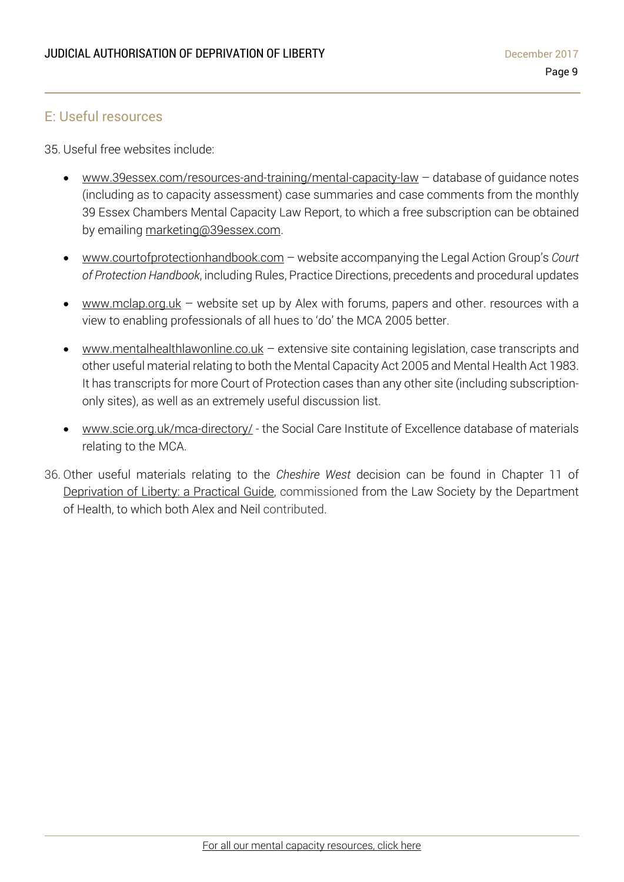### E: Useful resources

35. Useful free websites include:

- [www.39essex.com/resources-and-training/mental-capacity-law](http://www.39essex.com/resources-and-training/mental-capacity-law) database of guidance notes (including as to capacity assessment) case summaries and case comments from the monthly 39 Essex Chambers Mental Capacity Law Report, to which a free subscription can be obtained by emailing [marketing@39essex.com.](mailto:marketing@39essex.com)
- [www.courtofprotectionhandbook.com](http://www.courtofprotectionhandbook.com/) website accompanying the Legal Action Group's *Court of Protection Handbook*, including Rules, Practice Directions, precedents and procedural updates
- [www.mclap.org.uk](http://www.mclap.org.uk/) website set up by Alex with forums, papers and other. resources with a view to enabling professionals of all hues to 'do' the MCA 2005 better.
- [www.mentalhealthlawonline.co.uk](http://www.mentalhealthlawonline.co.uk/) extensive site containing legislation, case transcripts and other useful material relating to both the Mental Capacity Act 2005 and Mental Health Act 1983. It has transcripts for more Court of Protection cases than any other site (including subscriptiononly sites), as well as an extremely useful discussion list.
- [www.scie.org.uk/mca-directory](http://www.scie.org.uk/mca-directory)[/](http://www.mclap.org.uk/) the Social Care Institute of Excellence database of materials relating to the MCA.
- 36. Other useful materials relating to the *Cheshire West* decision can be found in Chapter 11 of [Deprivation](http://www.lawsociety.org.uk/support-services/advice/articles/deprivation-of-liberty/) of Liberty: a Practical Guide, commissioned from the Law Society by the Department of Health, to which both Alex and Neil contributed.